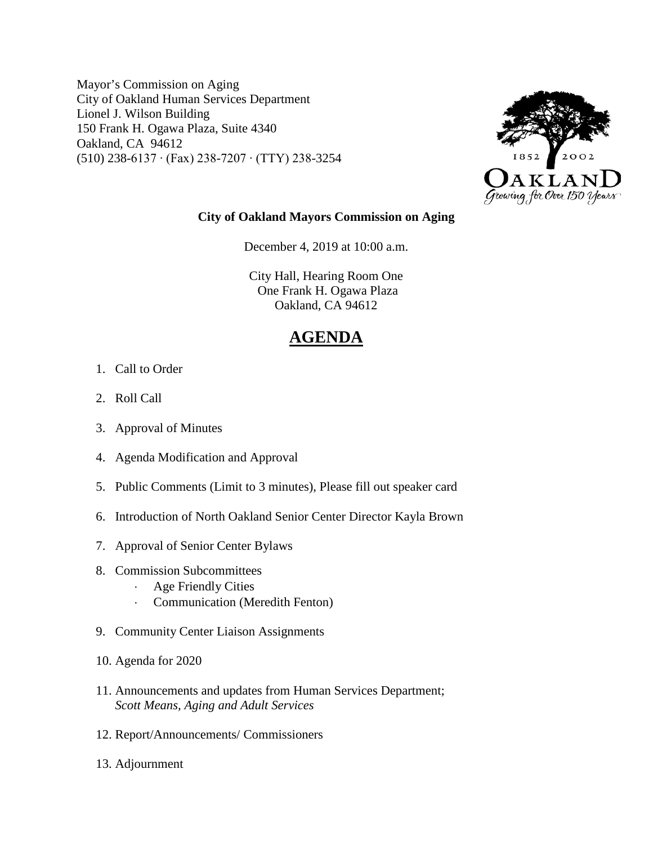Mayor's Commission on Aging City of Oakland Human Services Department Lionel J. Wilson Building 150 Frank H. Ogawa Plaza, Suite 4340 Oakland, CA 94612 (510) 238-6137 ∙ (Fax) 238-7207 ∙ (TTY) 238-3254



## **City of Oakland Mayors Commission on Aging**

December 4, 2019 at 10:00 a.m.

City Hall, Hearing Room One One Frank H. Ogawa Plaza Oakland, CA 94612

## **AGENDA**

- 1. Call to Order
- 2. Roll Call
- 3. Approval of Minutes
- 4. Agenda Modification and Approval
- 5. Public Comments (Limit to 3 minutes), Please fill out speaker card
- 6. Introduction of North Oakland Senior Center Director Kayla Brown
- 7. Approval of Senior Center Bylaws
- 8. Commission Subcommittees
	- ⋅ Age Friendly Cities
	- ⋅ Communication (Meredith Fenton)
- 9. Community Center Liaison Assignments
- 10. Agenda for 2020
- 11. Announcements and updates from Human Services Department; *Scott Means, Aging and Adult Services*
- 12. Report/Announcements/ Commissioners
- 13. Adjournment